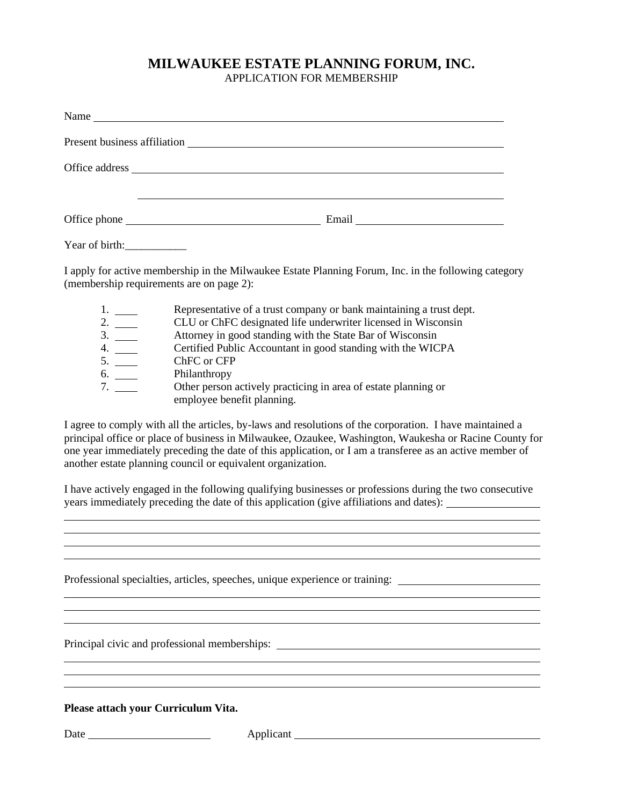## **MILWAUKEE ESTATE PLANNING FORUM, INC.**

APPLICATION FOR MEMBERSHIP

|                                                                                                                                                  | Present business affiliation<br><u>Example 2014</u>                                          |
|--------------------------------------------------------------------------------------------------------------------------------------------------|----------------------------------------------------------------------------------------------|
|                                                                                                                                                  |                                                                                              |
|                                                                                                                                                  |                                                                                              |
|                                                                                                                                                  |                                                                                              |
| Year of birth:                                                                                                                                   |                                                                                              |
| I apply for active membership in the Milwaukee Estate Planning Forum, Inc. in the following category<br>(membership requirements are on page 2): |                                                                                              |
|                                                                                                                                                  | Representative of a trust company or bank maintaining a trust dept.                          |
| $\frac{2}{3}$ .                                                                                                                                  | CLU or ChFC designated life underwriter licensed in Wisconsin                                |
|                                                                                                                                                  | Attorney in good standing with the State Bar of Wisconsin                                    |
| 4.                                                                                                                                               | Certified Public Accountant in good standing with the WICPA                                  |
| 5.                                                                                                                                               | ChFC or CFP                                                                                  |
| 6.                                                                                                                                               | Philanthropy                                                                                 |
| 7.                                                                                                                                               | Other person actively practicing in area of estate planning or<br>employee benefit planning. |

I agree to comply with all the articles, by-laws and resolutions of the corporation. I have maintained a principal office or place of business in Milwaukee, Ozaukee, Washington, Waukesha or Racine County for one year immediately preceding the date of this application, or I am a transferee as an active member of another estate planning council or equivalent organization.

I have actively engaged in the following qualifying businesses or professions during the two consecutive years immediately preceding the date of this application (give affiliations and dates):

<u> 1989 - Johann Stoff, amerikansk politiker (\* 1908)</u> <u> 1989 - Johann Stoff, amerikansk politiker (\* 1908)</u> 

<u> 1989 - Johann Stoff, deutscher Stoffen und der Stoffen und der Stoffen und der Stoffen und der Stoffen und de</u>

Professional specialties, articles, speeches, unique experience or training:

Principal civic and professional memberships:

**Please attach your Curriculum Vita.**

Date Applicant